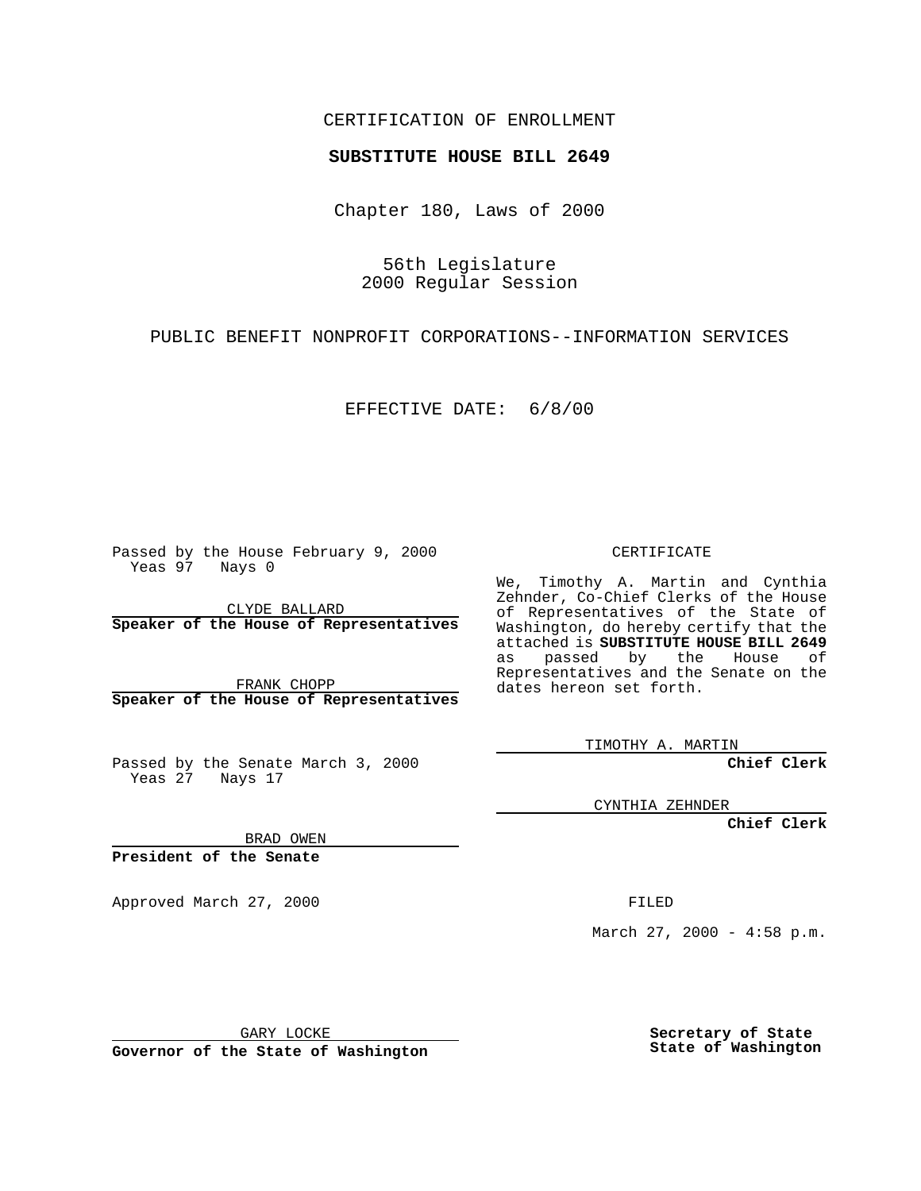## CERTIFICATION OF ENROLLMENT

## **SUBSTITUTE HOUSE BILL 2649**

Chapter 180, Laws of 2000

56th Legislature 2000 Regular Session

PUBLIC BENEFIT NONPROFIT CORPORATIONS--INFORMATION SERVICES

EFFECTIVE DATE: 6/8/00

Passed by the House February 9, 2000 Yeas 97 Nays 0

CLYDE BALLARD **Speaker of the House of Representatives**

FRANK CHOPP **Speaker of the House of Representatives**

Passed by the Senate March 3, 2000 Yeas 27 Nays 17

CERTIFICATE

We, Timothy A. Martin and Cynthia Zehnder, Co-Chief Clerks of the House of Representatives of the State of Washington, do hereby certify that the attached is **SUBSTITUTE HOUSE BILL 2649** as passed by the House of Representatives and the Senate on the dates hereon set forth.

TIMOTHY A. MARTIN

**Chief Clerk**

CYNTHIA ZEHNDER

**Chief Clerk**

BRAD OWEN

**President of the Senate**

Approved March 27, 2000 FILED

March 27, 2000 - 4:58 p.m.

GARY LOCKE

**Governor of the State of Washington**

**Secretary of State State of Washington**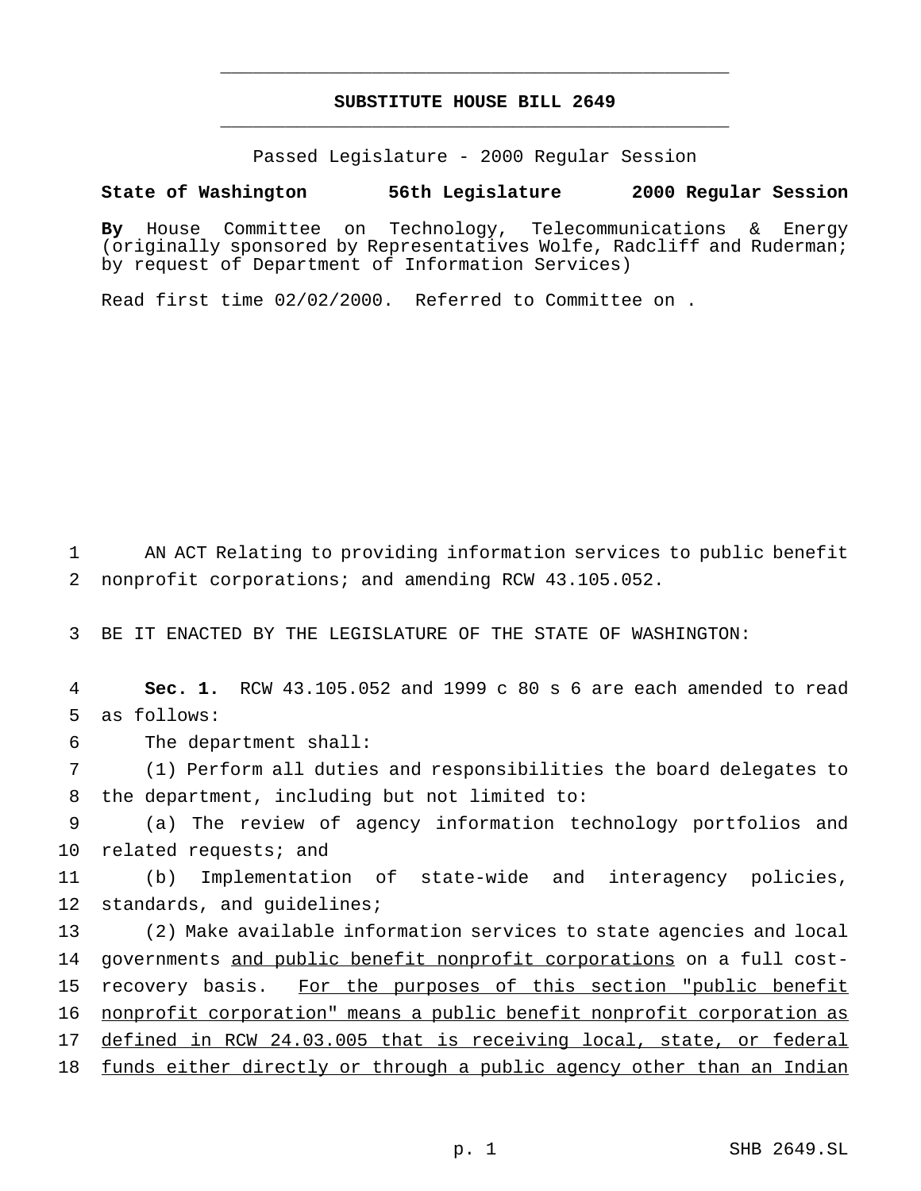## **SUBSTITUTE HOUSE BILL 2649** \_\_\_\_\_\_\_\_\_\_\_\_\_\_\_\_\_\_\_\_\_\_\_\_\_\_\_\_\_\_\_\_\_\_\_\_\_\_\_\_\_\_\_\_\_\_\_

\_\_\_\_\_\_\_\_\_\_\_\_\_\_\_\_\_\_\_\_\_\_\_\_\_\_\_\_\_\_\_\_\_\_\_\_\_\_\_\_\_\_\_\_\_\_\_

Passed Legislature - 2000 Regular Session

**State of Washington 56th Legislature 2000 Regular Session**

**By** House Committee on Technology, Telecommunications & Energy (originally sponsored by Representatives Wolfe, Radcliff and Ruderman; by request of Department of Information Services)

Read first time 02/02/2000. Referred to Committee on .

1 AN ACT Relating to providing information services to public benefit 2 nonprofit corporations; and amending RCW 43.105.052.

3 BE IT ENACTED BY THE LEGISLATURE OF THE STATE OF WASHINGTON:

4 **Sec. 1.** RCW 43.105.052 and 1999 c 80 s 6 are each amended to read 5 as follows:

6 The department shall:

7 (1) Perform all duties and responsibilities the board delegates to 8 the department, including but not limited to:

9 (a) The review of agency information technology portfolios and 10 related requests; and

11 (b) Implementation of state-wide and interagency policies, 12 standards, and quidelines;

13 (2) Make available information services to state agencies and local 14 governments and public benefit nonprofit corporations on a full cost-15 recovery basis. For the purposes of this section "public benefit 16 nonprofit corporation" means a public benefit nonprofit corporation as 17 defined in RCW 24.03.005 that is receiving local, state, or federal 18 funds either directly or through a public agency other than an Indian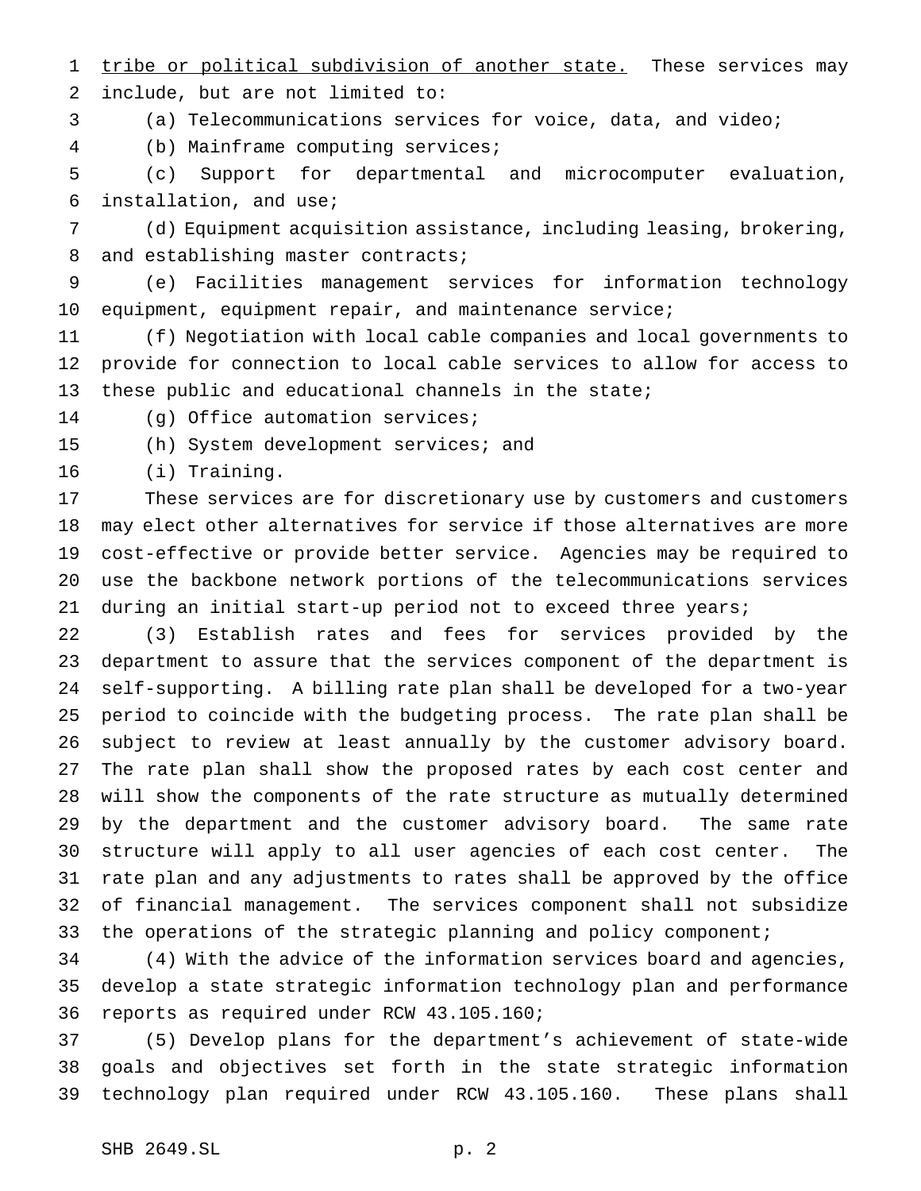1 tribe or political subdivision of another state. These services may include, but are not limited to:

(a) Telecommunications services for voice, data, and video;

(b) Mainframe computing services;

 (c) Support for departmental and microcomputer evaluation, installation, and use;

 (d) Equipment acquisition assistance, including leasing, brokering, 8 and establishing master contracts;

 (e) Facilities management services for information technology 10 equipment, equipment repair, and maintenance service;

 (f) Negotiation with local cable companies and local governments to provide for connection to local cable services to allow for access to these public and educational channels in the state;

(g) Office automation services;

(h) System development services; and

(i) Training.

 These services are for discretionary use by customers and customers may elect other alternatives for service if those alternatives are more cost-effective or provide better service. Agencies may be required to use the backbone network portions of the telecommunications services during an initial start-up period not to exceed three years;

 (3) Establish rates and fees for services provided by the department to assure that the services component of the department is self-supporting. A billing rate plan shall be developed for a two-year period to coincide with the budgeting process. The rate plan shall be subject to review at least annually by the customer advisory board. The rate plan shall show the proposed rates by each cost center and will show the components of the rate structure as mutually determined by the department and the customer advisory board. The same rate structure will apply to all user agencies of each cost center. The rate plan and any adjustments to rates shall be approved by the office of financial management. The services component shall not subsidize the operations of the strategic planning and policy component;

 (4) With the advice of the information services board and agencies, develop a state strategic information technology plan and performance reports as required under RCW 43.105.160;

 (5) Develop plans for the department's achievement of state-wide goals and objectives set forth in the state strategic information technology plan required under RCW 43.105.160. These plans shall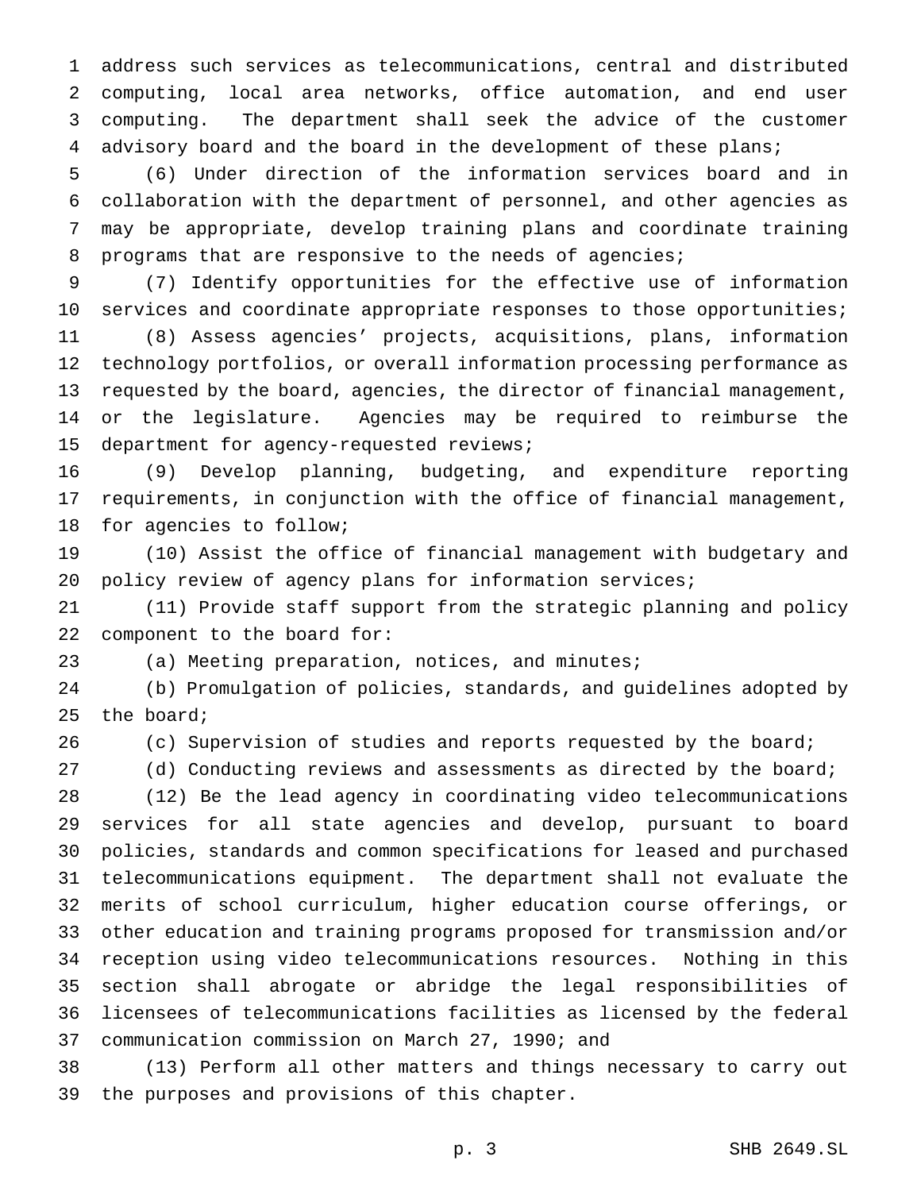address such services as telecommunications, central and distributed computing, local area networks, office automation, and end user computing. The department shall seek the advice of the customer advisory board and the board in the development of these plans;

 (6) Under direction of the information services board and in collaboration with the department of personnel, and other agencies as may be appropriate, develop training plans and coordinate training 8 programs that are responsive to the needs of agencies;

 (7) Identify opportunities for the effective use of information services and coordinate appropriate responses to those opportunities; (8) Assess agencies' projects, acquisitions, plans, information technology portfolios, or overall information processing performance as requested by the board, agencies, the director of financial management, or the legislature. Agencies may be required to reimburse the department for agency-requested reviews;

 (9) Develop planning, budgeting, and expenditure reporting requirements, in conjunction with the office of financial management, for agencies to follow;

 (10) Assist the office of financial management with budgetary and policy review of agency plans for information services;

 (11) Provide staff support from the strategic planning and policy component to the board for:

(a) Meeting preparation, notices, and minutes;

 (b) Promulgation of policies, standards, and guidelines adopted by the board;

(c) Supervision of studies and reports requested by the board;

(d) Conducting reviews and assessments as directed by the board;

 (12) Be the lead agency in coordinating video telecommunications services for all state agencies and develop, pursuant to board policies, standards and common specifications for leased and purchased telecommunications equipment. The department shall not evaluate the merits of school curriculum, higher education course offerings, or other education and training programs proposed for transmission and/or reception using video telecommunications resources. Nothing in this section shall abrogate or abridge the legal responsibilities of licensees of telecommunications facilities as licensed by the federal communication commission on March 27, 1990; and

 (13) Perform all other matters and things necessary to carry out the purposes and provisions of this chapter.